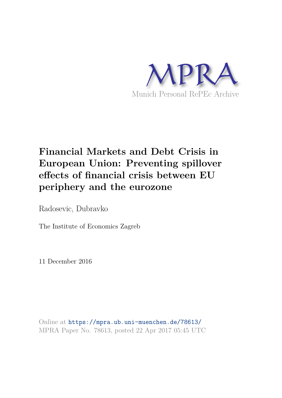

# **Financial Markets and Debt Crisis in European Union: Preventing spillover effects of financial crisis between EU periphery and the eurozone**

Radosevic, Dubravko

The Institute of Economics Zagreb

11 December 2016

Online at https://mpra.ub.uni-muenchen.de/78613/ MPRA Paper No. 78613, posted 22 Apr 2017 05:45 UTC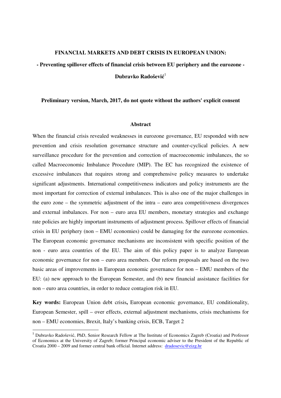#### **FINANCIAL MARKETS AND DEBT CRISIS IN EUROPEAN UNION:**

**- Preventing spillover effects of financial crisis between EU periphery and the eurozone - Dubravko Radošević** 1

### **Preliminary version, March, 2017, do not quote without the authors' explicit consent**

#### **Abstract**

When the financial crisis revealed weaknesses in eurozone governance, EU responded with new prevention and crisis resolution governance structure and counter-cyclical policies. A new surveillance procedure for the prevention and correction of macroeconomic imbalances, the so called Macroeconomic Imbalance Procedure (MIP). The EC has recognized the existence of excessive imbalances that requires strong and comprehensive policy measures to undertake significant adjustments. International competitiveness indicators and policy instruments are the most important for correction of external imbalances. This is also one of the major challenges in the euro zone – the symmetric adjustment of the intra – euro area competitiveness divergences and external imbalances. For non – euro area EU members, monetary strategies and exchange rate policies are highly important instruments of adjustment process. Spillover effects of financial crisis in EU periphery (non – EMU economies) could be damaging for the eurozone economies. The European economic governance mechanisms are inconsistent with specific position of the non - euro area countries of the EU. The aim of this policy paper is to analyze European economic governance for non – euro area members. Our reform proposals are based on the two basic areas of improvements in European economic governance for non – EMU members of the EU: (a) new approach to the European Semester, and (b) new financial assistance facilities for non – euro area countries, in order to reduce contagion risk in EU.

**Key words:** European Union debt crisis**,** European economic governance, EU conditionality, European Semester, spill – over effects, external adjustment mechanisms, crisis mechanisms for non – EMU economies, Brexit, Italy's banking crisis, ECB, Target 2

 $\overline{a}$ 

<sup>1</sup> Dubravko Radošević, PhD, Senior Research Fellow at The Institute of Economics Zagreb (Croatia) and Professor of Economics at the University of Zagreb; former Principal economic adviser to the President of the Republic of Croatia 2000 – 2009 and former central bank official. Internet address: dradosevic@eizg.hr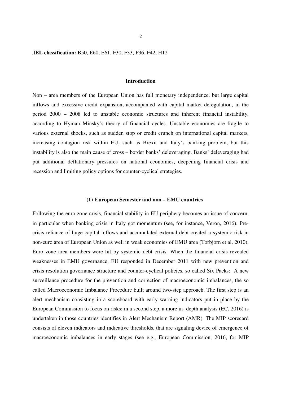**JEL classification:** B50, E60, E61, F30, F33, F36, F42, H12

#### **Introduction**

Non – area members of the European Union has full monetary independence, but large capital inflows and excessive credit expansion, accompanied with capital market deregulation, in the period 2000 – 2008 led to unstable economic structures and inherent financial instability, according to Hyman Minsky's theory of financial cycles. Unstable economies are fragile to various external shocks, such as sudden stop or credit crunch on international capital markets, increasing contagion risk within EU, such as Brexit and Italy's banking problem, but this instability is also the main cause of cross – border banks' deleveraging. Banks' deleveraging had put additional deflationary pressures on national economies, deepening financial crisis and recession and limiting policy options for counter-cyclical strategies.

#### **(1) European Semester and non – EMU countries**

Following the euro zone crisis, financial stability in EU periphery becomes an issue of concern, in particular when banking crisis in Italy got momentum (see, for instance, Veron, 2016). Precrisis reliance of huge capital inflows and accumulated external debt created a systemic risk in non-euro area of European Union as well in weak economies of EMU area (Torbjorn et al, 2010). Euro zone area members were hit by systemic debt crisis. When the financial crisis revealed weaknesses in EMU governance, EU responded in December 2011 with new prevention and crisis resolution governance structure and counter-cyclical policies, so called Six Packs: A new surveillance procedure for the prevention and correction of macroeconomic imbalances, the so called Macroeconomic Imbalance Procedure built around two-step approach. The first step is an alert mechanism consisting in a scoreboard with early warning indicators put in place by the European Commission to focus on risks; in a second step, a more in- depth analysis (EC, 2016) is undertaken in those countries identifies in Alert Mechanism Report (AMR). The MIP scorecard consists of eleven indicators and indicative thresholds, that are signaling device of emergence of macroeconomic imbalances in early stages (see e.g., European Commission, 2016, for MIP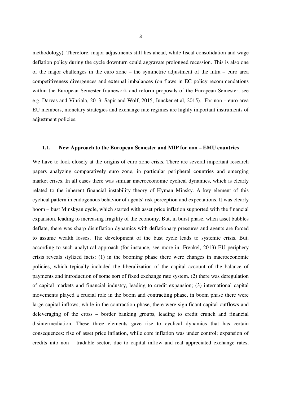methodology). Therefore, major adjustments still lies ahead, while fiscal consolidation and wage deflation policy during the cycle downturn could aggravate prolonged recession. This is also one of the major challenges in the euro zone – the symmetric adjustment of the intra – euro area competitiveness divergences and external imbalances (on flaws in EC policy recommendations within the European Semester framework and reform proposals of the European Semester, see e.g. Darvas and Vihriala, 2013; Sapir and Wolf, 2015, Juncker et al, 2015). For non – euro area EU members, monetary strategies and exchange rate regimes are highly important instruments of adjustment policies.

# **1.1. New Approach to the European Semester and MIP for non – EMU countries**

We have to look closely at the origins of euro zone crisis. There are several important research papers analyzing comparatively euro zone, in particular peripheral countries and emerging market crises. In all cases there was similar macroeconomic cyclical dynamics, which is clearly related to the inherent financial instability theory of Hyman Minsky. A key element of this cyclical pattern in endogenous behavior of agents' risk perception and expectations. It was clearly boom – bust Minskyan cycle, which started with asset price inflation supported with the financial expansion, leading to increasing fragility of the economy. But, in burst phase, when asset bubbles deflate, there was sharp disinflation dynamics with deflationary pressures and agents are forced to assume wealth losses. The development of the bust cycle leads to systemic crisis. But, according to such analytical approach (for instance, see more in: Frenkel, 2013) EU periphery crisis reveals stylized facts: (1) in the booming phase there were changes in macroeconomic policies, which typically included the liberalization of the capital account of the balance of payments and introduction of some sort of fixed exchange rate system. (2) there was deregulation of capital markets and financial industry, leading to credit expansion; (3) international capital movements played a crucial role in the boom and contracting phase, in boom phase there were large capital inflows, while in the contraction phase, there were significant capital outflows and deleveraging of the cross – border banking groups, leading to credit crunch and financial disintermediation. These three elements gave rise to cyclical dynamics that has certain consequences: rise of asset price inflation, while core inflation was under control; expansion of credits into non – tradable sector, due to capital inflow and real appreciated exchange rates,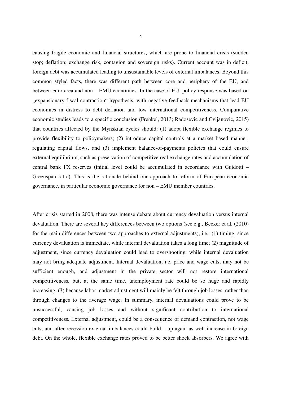causing fragile economic and financial structures, which are prone to financial crisis (sudden stop; deflation; exchange risk, contagion and sovereign risks). Current account was in deficit, foreign debt was accumulated leading to unsustainable levels of external imbalances. Beyond this common styled facts, there was different path between core and periphery of the EU, and between euro area and non – EMU economies. In the case of EU, policy response was based on "expansionary fiscal contraction" hypothesis, with negative feedback mechanisms that lead EU economies in distress to debt deflation and low international competitiveness. Comparative economic studies leads to a specific conclusion (Frenkel, 2013; Radosevic and Cvijanovic, 2015) that countries affected by the Mynskian cycles should: (1) adopt flexible exchange regimes to provide flexibility to policymakers; (2) introduce capital controls at a market based manner, regulating capital flows, and (3) implement balance-of-payments policies that could ensure external equilibrium, such as preservation of competitive real exchange rates and accumulation of central bank FX reserves (initial level could be accumulated in accordance with Guidotti – Greenspan ratio). This is the rationale behind our approach to reform of European economic governance, in particular economic governance for non – EMU member countries.

After crisis started in 2008, there was intense debate about currency devaluation versus internal devaluation. There are several key differences between two options (see e.g., Becker et al, (2010) for the main differences between two approaches to external adjustments), i.e.: (1) timing, since currency devaluation is immediate, while internal devaluation takes a long time; (2) magnitude of adjustment, since currency devaluation could lead to overshooting, while internal devaluation may not bring adequate adjustment. Internal devaluation, i.e. price and wage cuts, may not be sufficient enough, and adjustment in the private sector will not restore international competitiveness, but, at the same time, unemployment rate could be so huge and rapidly increasing, (3) because labor market adjustment will mainly be felt through job losses, rather than through changes to the average wage. In summary, internal devaluations could prove to be unsuccessful, causing job losses and without significant contribution to international competitiveness. External adjustment, could be a consequence of demand contraction, not wage cuts, and after recession external imbalances could build – up again as well increase in foreign debt. On the whole, flexible exchange rates proved to be better shock absorbers. We agree with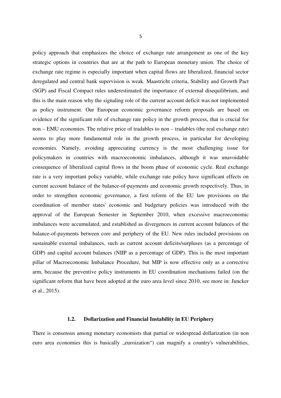policy approach that emphasizes the choice of exchange rate arrangement as one of the key strategic options in countries that are at the path to European monetary union. The choice of exchange rate regime is especially important when capital flows are liberalized, financial sector deregulated and central bank supervision is weak. Maastricht criteria, Stability and Growth Pact (SGP) and Fiscal Compact rules underestimated the importance of external disequilibrium, and this is the main reason why the signaling role of the current account deficit was not implemented as policy instrument. Our European economic governance reform proposals are based on evidence of the significant role of exchange rate policy in the growth process, that is crucial for non – EMU economies. The relative price of tradables to non – tradables (the real exchange rate) seems to play more fundamental role in the growth process, in particular for developing economies. Namely, avoiding appreciating currency is the most challenging issue for policymakers in countries with macroeconomic imbalances, although it was unavoidable consequence of liberalized capital flows in the boom phase of economic cycle. Real exchange rate is a very important policy variable, while exchange rate policy have significant effects on current account balance of the balance-of-payments and economic growth respectively. Thus, in order to strengthen economic governance, a first reform of the EU law provisions on the coordination of member states' economic and budgetary policies was introduced with the approval of the European Semester in September 2010, when excessive macroeconomic imbalances were accumulated, and established as divergences in current account balances of the balance-of-payments between core and periphery of the EU. New rules included provisions on sustainable external imbalances, such as current account deficits/surpluses (as a percentage of GDP) and capital account balances (NIIP as a percentage of GDP). This is the most important pillar of Macroeconomic Imbalance Procedure, but MIP is now effective only as a corrective arm, because the preventive policy instruments in EU coordination mechanisms failed (on the significant reform that have been adopted at the euro area level since 2010, see more in: Juncker et al., 2015).

### **1.2. Dollarization and Financial Instability in EU Periphery**

There is consensus among monetary economists that partial or widespread dollarization (in non euro area economies this is basically "euroization") can magnify a country's vulnerabilities,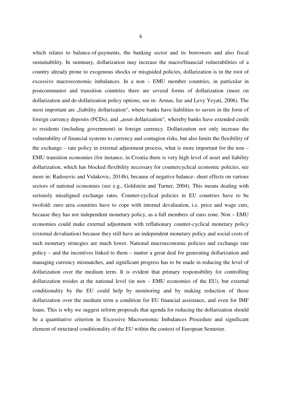which relates to balance-of-payments, the banking sector and its borrowers and also fiscal sustainability. In summary, dollarization may increase the macro/financial vulnerabilities of a country already prone to exogenous shocks or misguided policies, dollarization is in the root of excessive macroeconomic imbalances. In a non – EMU member countries, in particular in postcommunist and transition countries there are several forms of dollarization (more on dollarization and de-dollarization policy options, see in: Armas, Ize and Levy Yeyati, 2006). The most important are  $\mu$ , liability dollarization", where banks have liabilities to savers in the form of foreign currency deposits (FCDs); and "asset dollarization", whereby banks have extended credit to residents (including government) in foreign currency. Dollarization not only increase the vulnerability of financial systems to currency and contagion risks, but also limits the flexibility of the exchange – rate policy in external adjustment process, what is more important for the non – EMU transition economies (for instance, in Croatia there is very high level of asset and liability dollarization, which has blocked flexibility necessary for countercyclical economic policies, see more in: Radosevic and Vidakovic, 2014b), because of negative balance- sheet effects on various sectors of national economies (see e.g., Goldstein and Turner, 2004). This means dealing with seriously misaligned exchange rates. Counter-cyclical policies in EU countries have to be twofold: euro area countries have to cope with internal devaluation, i.e. price and wage cuts, because they has not independent monetary policy, as a full members of euro zone. Non – EMU economies could make external adjustment with reflationary counter-cyclical monetary policy (external devaluation) because they still have an independent monetary policy and social costs of such monetary strategies are much lower. National macroeconomic policies and exchange rate policy – and the incentives linked to them – matter a great deal for generating dollarization and managing currency mismatches, and significant progress has to be made in reducing the level of dollarization over the medium term. It is evident that primary responsibility for controlling dollarization resides at the national level (in non – EMU economies of the EU), but external conditionality by the EU could help by monitoring and by making reduction of those dollarization over the medium term a condition for EU financial assistance, and even for IMF loans. This is why we suggest reform proposals that agenda for reducing the dollarization should be a quantitative criterion in Excessive Macroenomic Imbalances Procedure and significant element of structural conditionality of the EU within the context of European Semester.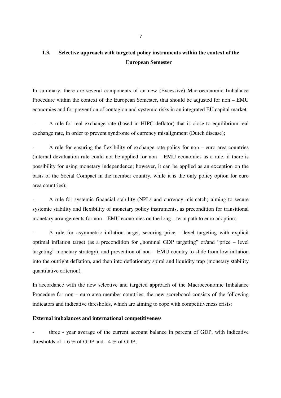# **1.3. Selective approach with targeted policy instruments within the context of the European Semester**

In summary, there are several components of an new (Excessive) Macroeconomic Imbalance Procedure within the context of the European Semester, that should be adjusted for non – EMU economies and for prevention of contagion and systemic risks in an integrated EU capital market:

- A rule for real exchange rate (based in HIPC deflator) that is close to equilibrium real exchange rate, in order to prevent syndrome of currency misalignment (Dutch disease);

- A rule for ensuring the flexibility of exchange rate policy for non – euro area countries (internal devaluation rule could not be applied for non – EMU economies as a rule, if there is possibility for using monetary independence; however, it can be applied as an exception on the basis of the Social Compact in the member country, while it is the only policy option for euro area countries);

A rule for systemic financial stability (NPLs and currency mismatch) aiming to secure systemic stability and flexibility of monetary policy instruments, as precondition for transitional monetary arrangements for non – EMU economies on the long – term path to euro adoption;

- A rule for asymmetric inflation target, securing price – level targeting with explicit optimal inflation target (as a precondition for  $\mu$  nominal GDP targeting" or/and "price – level targeting" monetary strategy), and prevention of non – EMU country to slide from low inflation into the outright deflation, and then into deflationary spiral and liquidity trap (monetary stability quantitative criterion).

In accordance with the new selective and targeted approach of the Macroeconomic Imbalance Procedure for non – euro area member countries, the new scoreboard consists of the following indicators and indicative thresholds, which are aiming to cope with competitiveness crisis:

## **External imbalances and international competitiveness**

three - year average of the current account balance in percent of GDP, with indicative thresholds of  $+ 6 \%$  of GDP and  $- 4 \%$  of GDP;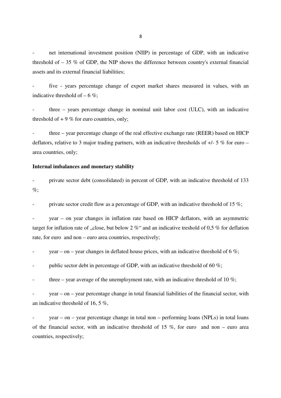net international investment position (NIIP) in percentage of GDP, with an indicative threshold of  $-35\%$  of GDP, the NIP shows the difference between country's external financial assets and its external financial liabilities;

five - years percentage change of export market shares measured in values, with an indicative threshold of  $-6\%$ :

three  $-$  years percentage change in nominal unit labor cost (ULC), with an indicative threshold of  $+9\%$  for euro countries, only;

three – year percentage change of the real effective exchange rate (REER) based on HICP deflators, relative to 3 major trading partners, with an indicative thresholds of  $+/- 5$  % for euro – area countries, only;

#### **Internal imbalances and monetary stability**

- private sector debt (consolidated) in percent of GDP, with an indicative threshold of 133  $\%$ :

private sector credit flow as a percentage of GDP, with an indicative threshold of 15  $\%$ ;

year – on year changes in inflation rate based on HICP deflators, with an asymmetric target for inflation rate of  $\alpha$ , close, but below 2 %" and an indicative treshold of 0,5 % for deflation rate, for euro and non – euro area countries, respectively;

year – on – year changes in deflated house prices, with an indicative threshold of 6 %;

public sector debt in percentage of GDP, with an indicative threshold of 60  $\%$ ;

three – year average of the unemployment rate, with an indicative threshold of 10  $\%$ ;

- year – on – year percentage change in total financial liabilities of the financial sector, with an indicative threshold of 16, 5 %,

 $year - on - year$  percentage change in total non – performing loans (NPLs) in total loans of the financial sector, with an indicative threshold of 15 %, for euro and non – euro area countries, respectively;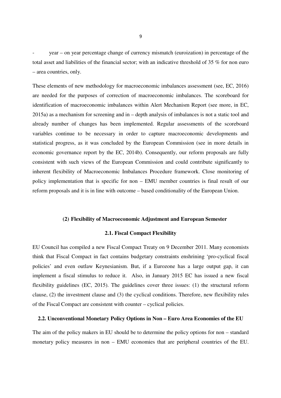- year – on year percentage change of currency mismatch (euroization) in percentage of the total asset and liabilities of the financial sector; with an indicative threshold of 35 % for non euro – area countries, only.

These elements of new methodology for macroeconomic imbalances assessment (see, EC, 2016) are needed for the purposes of correction of macroeconomic imbalances. The scoreboard for identification of macroeconomic imbalances within Alert Mechanism Report (see more, in EC, 2015a) as a mechanism for screening and in – depth analysis of imbalances is not a static tool and already number of changes has been implemented. Regular assessments of the scoreboard variables continue to be necessary in order to capture macroeconomic developments and statistical progress, as it was concluded by the European Commission (see in more details in economic governance report by the EC, 2014b). Consequently, our reform proposals are fully consistent with such views of the European Commission and could contribute significantly to inherent flexibility of Macroeconomic Imbalances Procedure framework. Close monitoring of policy implementation that is specific for non – EMU member countries is final result of our reform proposals and it is in line with outcome – based conditionality of the European Union.

#### **(2) Flexibility of Macroeconomic Adjustment and European Semester**

#### **2.1. Fiscal Compact Flexibility**

EU Council has compiled a new Fiscal Compact Treaty on 9 December 2011. Many economists think that Fiscal Compact in fact contains budgetary constraints enshrining 'pro-cyclical fiscal policies' and even outlaw Keynesianism. But, if a Eurozone has a large output gap, it can implement a fiscal stimulus to reduce it. Also, in January 2015 EC has issued a new fiscal flexibility guidelines (EC, 2015). The guidelines cover three issues: (1) the structural reform clause, (2) the investment clause and (3) the cyclical conditions. Therefore, new flexibility rules of the Fiscal Compact are consistent with counter – cyclical policies.

#### **2.2. Unconventional Monetary Policy Options in Non – Euro Area Economies of the EU**

The aim of the policy makers in EU should be to determine the policy options for non – standard monetary policy measures in non – EMU economies that are peripheral countries of the EU.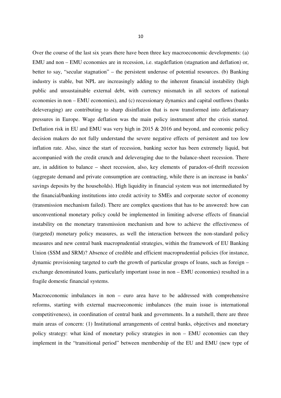Over the course of the last six years there have been three key macroeconomic developments: (a) EMU and non – EMU economies are in recession, i.e. stagdeflation (stagnation and deflation) or, better to say, "secular stagnation" – the persistent underuse of potential resources. (b) Banking industry is stable, but NPL are increasingly adding to the inherent financial instability (high public and unsustainable external debt, with currency mismatch in all sectors of national economies in non – EMU economies), and (c) recessionary dynamics and capital outflows (banks deleveraging) are contributing to sharp disinflation that is now transformed into deflationary pressures in Europe. Wage deflation was the main policy instrument after the crisis started. Deflation risk in EU and EMU was very high in 2015 & 2016 and beyond, and economic policy decision makers do not fully understand the severe negative effects of persistent and too low inflation rate. Also, since the start of recession, banking sector has been extremely liquid, but accompanied with the credit crunch and deleveraging due to the balance-sheet recession. There are, in addition to balance – sheet recession, also, key elements of paradox-of-thrift recession (aggregate demand and private consumption are contracting, while there is an increase in banks' savings deposits by the households). High liquidity in financial system was not intermediated by the financial/banking institutions into credit activity to SMEs and corporate sector of economy (transmission mechanism failed). There are complex questions that has to be answered: how can unconventional monetary policy could be implemented in limiting adverse effects of financial instability on the monetary transmission mechanism and how to achieve the effectiveness of (targeted) monetary policy measures, as well the interaction between the non-standard policy measures and new central bank macroprudential strategies, within the framework of EU Banking Union (SSM and SRM)? Absence of credible and efficient macroprudential policies (for instance, dynamic provisioning targeted to curb the growth of particular groups of loans, such as foreign – exchange denominated loans, particularly important issue in non – EMU economies) resulted in a fragile domestic financial systems.

Macroeconomic imbalances in non – euro area have to be addressed with comprehensive reforms, starting with external macroeconomic imbalances (the main issue is international competitiveness), in coordination of central bank and governments. In a nutshell, there are three main areas of concern: (1) Institutional arrangements of central banks, objectives and monetary policy strategy: what kind of monetary policy strategies in non – EMU economies can they implement in the "transitional period" between membership of the EU and EMU (new type of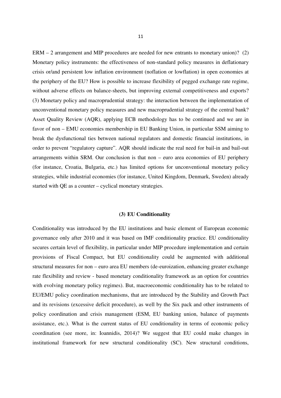ERM – 2 arrangement and MIP procedures are needed for new entrants to monetary union)? (2) Monetary policy instruments: the effectiveness of non-standard policy measures in deflationary crisis or/and persistent low inflation environment (noflation or lowflation) in open economies at the periphery of the EU? How is possible to increase flexibility of pegged exchange rate regime, without adverse effects on balance-sheets, but improving external competitiveness and exports? (3) Monetary policy and macroprudential strategy: the interaction between the implementation of unconventional monetary policy measures and new macroprudential strategy of the central bank? Asset Quality Review (AQR), applying ECB methodology has to be continued and we are in favor of non – EMU economies membership in EU Banking Union, in particular SSM aiming to break the dysfunctional ties between national regulators and domestic financial institutions, in order to prevent "regulatory capture". AQR should indicate the real need for bail-in and bail-out arrangements within SRM. Our conclusion is that non – euro area economies of EU periphery (for instance, Croatia, Bulgaria, etc.) has limited options for unconventional monetary policy strategies, while industrial economies (for instance, United Kingdom, Denmark, Sweden) already started with QE as a counter – cyclical monetary strategies.

## **(3) EU Conditionality**

Conditionality was introduced by the EU institutions and basic element of European economic governance only after 2010 and it was based on IMF conditionality practice. EU conditionality secures certain level of flexibility, in particular under MIP procedure implementation and certain provisions of Fiscal Compact, but EU conditionality could be augmented with additional structural measures for non – euro area EU members (de-euroization, enhancing greater exchange rate flexibility and review - based monetary conditionality framework as an option for countries with evolving monetary policy regimes). But, macroeconomic conditionality has to be related to EU/EMU policy coordination mechanisms, that are introduced by the Stability and Growth Pact and its revisions (excessive deficit procedure), as well by the Six pack and other instruments of policy coordination and crisis management (ESM, EU banking union, balance of payments assistance, etc.). What is the current status of EU conditionality in terms of economic policy coordination (see more, in: Ioannidis, 2014)? We suggest that EU could make changes in institutional framework for new structural conditionality (SC). New structural conditions,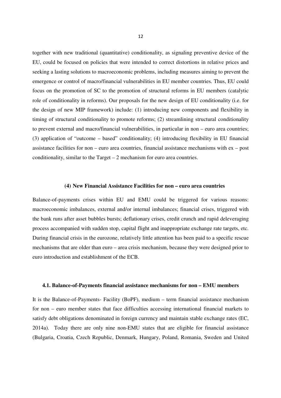together with new traditional (quantitative) conditionality, as signaling preventive device of the EU, could be focused on policies that were intended to correct distortions in relative prices and seeking a lasting solutions to macroeconomic problems, including measures aiming to prevent the emergence or control of macro/financial vulnerabilities in EU member countries. Thus, EU could focus on the promotion of SC to the promotion of structural reforms in EU members (catalytic role of conditionality in reforms). Our proposals for the new design of EU conditionality (i.e. for the design of new MIP framework) include: (1) introducing new components and flexibility in timing of structural conditionality to promote reforms; (2) streamlining structural conditionality to prevent external and macro/financial vulnerabilities, in particular in non – euro area countries; (3) application of "outcome – based" conditionality; (4) introducing flexibility in EU financial assistance facilities for non – euro area countries, financial assistance mechanisms with ex – post conditionality, similar to the Target – 2 mechanism for euro area countries.

#### **(4) New Financial Assistance Facilities for non – euro area countries**

Balance-of-payments crises within EU and EMU could be triggered for various reasons: macroeconomic imbalances, external and/or internal imbalances; financial crises, triggered with the bank runs after asset bubbles bursts; deflationary crises, credit crunch and rapid deleveraging process accompanied with sudden stop, capital flight and inappropriate exchange rate targets, etc. During financial crisis in the eurozone, relatively little attention has been paid to a specific rescue mechanisms that are older than euro – area crisis mechanism, because they were designed prior to euro introduction and establishment of the ECB.

#### **4.1. Balance-of-Payments financial assistance mechanisms for non – EMU members**

It is the Balance-of-Payments- Facility (BoPF), medium – term financial assistance mechanism for non – euro member states that face difficulties accessing international financial markets to satisfy debt obligations denominated in foreign currency and maintain stable exchange rates (EC, 2014a). Today there are only nine non-EMU states that are eligible for financial assistance (Bulgaria, Croatia, Czech Republic, Denmark, Hungary, Poland, Romania, Sweden and United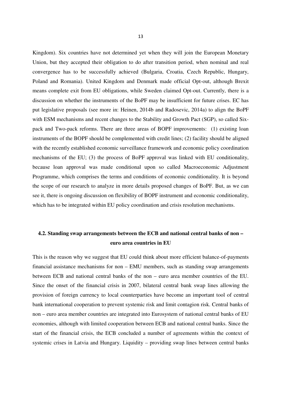Kingdom). Six countries have not determined yet when they will join the European Monetary Union, but they accepted their obligation to do after transition period, when nominal and real convergence has to be successfully achieved (Bulgaria, Croatia, Czech Republic, Hungary, Poland and Romania). United Kingdom and Denmark made official Opt-out, although Brexit means complete exit from EU obligations, while Sweden claimed Opt-out. Currently, there is a discussion on whether the instruments of the BoPF may be insufficient for future crises. EC has put legislative proposals (see more in: Heinen, 2014b and Radosevic, 2014a) to align the BoPF with ESM mechanisms and recent changes to the Stability and Growth Pact (SGP), so called Sixpack and Two-pack reforms. There are three areas of BOPF improvements: (1) existing loan instruments of the BOPF should be complemented with credit lines; (2) facility should be aligned with the recently established economic surveillance framework and economic policy coordination mechanisms of the EU; (3) the process of BoPF approval was linked with EU conditionality, because loan approval was made conditional upon so called Macroeconomic Adjustment Programme, which comprises the terms and conditions of economic conditionality. It is beyond the scope of our research to analyze in more details proposed changes of BoPF. But, as we can see it, there is ongoing discussion on flexibility of BOPF instrument and economic conditionality, which has to be integrated within EU policy coordination and crisis resolution mechanisms.

# **4.2. Standing swap arrangements between the ECB and national central banks of non – euro area countries in EU**

This is the reason why we suggest that EU could think about more efficient balance-of-payments financial assistance mechanisms for non – EMU members, such as standing swap arrangements between ECB and national central banks of the non – euro area member countries of the EU. Since the onset of the financial crisis in 2007, bilateral central bank swap lines allowing the provision of foreign currency to local counterparties have become an important tool of central bank international cooperation to prevent systemic risk and limit contagion risk. Central banks of non – euro area member countries are integrated into Eurosystem of national central banks of EU economies, although with limited cooperation between ECB and national central banks. Since the start of the financial crisis, the ECB concluded a number of agreements within the context of systemic crises in Latvia and Hungary. Liquidity – providing swap lines between central banks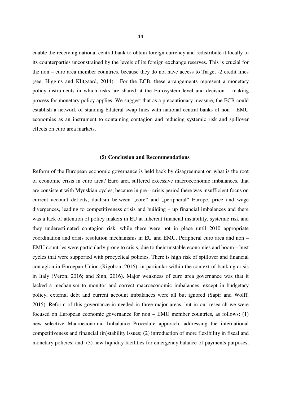enable the receiving national central bank to obtain foreign currency and redistribute it locally to its counterparties unconstrained by the levels of its foreign exchange reserves. This is crucial for the non – euro area member countries, because they do not have access to Target -2 credit lines (see, Higgins and Klitgaard, 2014). For the ECB, these arrangements represent a monetary policy instruments in which risks are shared at the Eurosystem level and decision – making process for monetary policy applies. We suggest that as a precautionary measure, the ECB could establish a network of standing bilateral swap lines with national central banks of non – EMU economies as an instrument to containing contagion and reducing systemic risk and spillover effects on euro area markets.

#### **(5) Conclusion and Recommendations**

Reform of the European economic governance is held back by disagreement on what is the root of economic crisis in euro area? Euro area suffered excessive macroeconomic imbalances, that are consistent with Mynskian cycles, because in pre – crisis period there was insufficient focus on current account deficits, dualism between "core" and "peripheral" Europe, price and wage divergences, leading to competitiveness crisis and building – up financial imbalances and there was a lack of attention of policy makers in EU at inherent financial instability, systemic risk and they underestimated contagion risk, while there were not in place until 2010 appropriate coordination and crisis resolution mechanisms in EU and EMU. Peripheral euro area and non – EMU countries were particularly prone to crisis, due to their unstable economies and boom – bust cycles that were supported with procyclical policies. There is high risk of spillover and financial contagion in Euroepan Union (Rigobon, 2016), in particular within the context of banking crisis in Italy (Veron, 2016; and Sinn, 2016). Major weakness of euro area governance was that it lacked a mechanism to monitor and correct macroeconomic imbalances, except in budgetary policy, external debt and current account imbalances were all but ignored (Sapir and Wolff, 2015). Reform of this governance in needed in three major areas, but in our research we were focused on European economic governance for non – EMU member countries, as follows: (1) new selective Macroeconomic Imbalance Procedure approach, addressing the international competitiveness and financial (in)stability issues; (2) introduction of more flexibility in fiscal and monetary policies; and, (3) new liquidity facilities for emergency balance-of-payments purposes,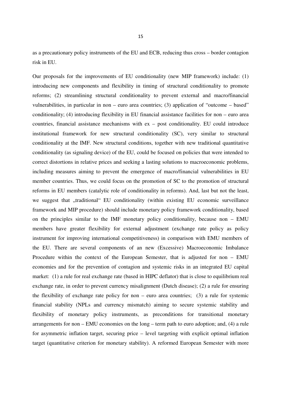as a precautionary policy instruments of the EU and ECB, reducing thus cross – border contagion risk in EU.

Our proposals for the improvements of EU conditionality (new MIP framework) include: (1) introducing new components and flexibility in timing of structural conditionality to promote reforms; (2) streamlining structural conditionality to prevent external and macro/financial vulnerabilities, in particular in non – euro area countries; (3) application of "outcome – based" conditionality; (4) introducing flexibility in EU financial assistance facilities for non – euro area countries, financial assistance mechanisms with ex – post conditionality. EU could introduce institutional framework for new structural conditionality (SC), very similar to structural conditionality at the IMF. New structural conditions, together with new traditional quantitative conditionality (as signaling device) of the EU, could be focused on policies that were intended to correct distortions in relative prices and seeking a lasting solutions to macroeconomic problems, including measures aiming to prevent the emergence of macro/financial vulnerabilities in EU member countries. Thus, we could focus on the promotion of SC to the promotion of structural reforms in EU members (catalytic role of conditionality in reforms). And, last but not the least, we suggest that "traditional" EU conditionality (within existing EU economic surveillance framework and MIP procedure) should include monetary policy framework conditionality, based on the principles similar to the IMF monetary policy conditionality, because non – EMU members have greater flexibility for external adjustment (exchange rate policy as policy instrument for improving international competitiveness) in comparison with EMU members of the EU. There are several components of an new (Excessive) Macroeconomic Imbalance Procedure within the context of the European Semester, that is adjusted for non – EMU economies and for the prevention of contagion and systemic risks in an integrated EU capital market: (1) a rule for real exchange rate (based in HIPC deflator) that is close to equilibrium real exchange rate, in order to prevent currency misalignment (Dutch disease); (2) a rule for ensuring the flexibility of exchange rate policy for non – euro area countries;  $(3)$  a rule for systemic financial stability (NPLs and currency mismatch) aiming to secure systemic stability and flexibility of monetary policy instruments, as preconditions for transitional monetary arrangements for non – EMU economies on the long – term path to euro adoption; and, (4) a rule for asymmetric inflation target, securing price – level targeting with explicit optimal inflation target (quantitative criterion for monetary stability). A reformed European Semester with more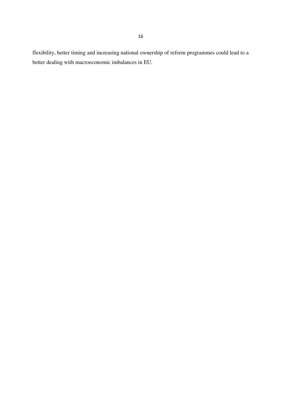flexibility, better timing and increasing national ownership of reform programmes could lead to a better dealing with macroeconomic imbalances in EU.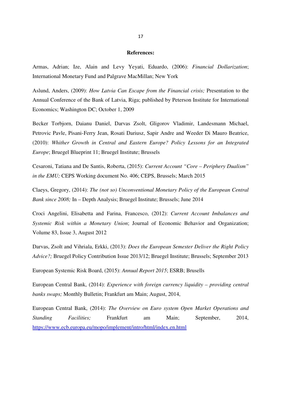#### **References:**

Armas, Adrian; Ize, Alain and Levy Yeyati, Eduardo, (2006): *Financial Dollarization*; International Monetary Fund and Palgrave MacMillan; New York

Aslund, Anders, (2009): *How Latvia Can Escape from the Financial crisis;* Presentation to the Annual Conference of the Bank of Latvia, Riga; published by Peterson Institute for International Economics; Washington DC; October 1, 2009

Becker Torbjorn, Daianu Daniel, Darvas Zsolt, Gligorov Vladimir, Landesmann Michael, Petrovic Pavle, Pisani-Ferry Jean, Rosati Dariusz, Sapir Andre and Weeder Di Mauro Beatrice, (2010): *Whither Growth in Central and Eastern Europe? Policy Lessons for an Integrated Europe*; Bruegel Blueprint 11; Bruegel Institute; Brussels

Cesaroni, Tatiana and De Santis, Roberta, (2015): *Current Account "Core – Periphery Dualism" in the EMU;* CEPS Working document No. 406; CEPS, Brussels; March 2015

Claeys, Gregory, (2014): *The (not so) Unconventional Monetary Policy of the European Central Bank since 2008;* In – Depth Analysis; Bruegel Institute; Brussels; June 2014

Croci Angelini, Elisabetta and Farina, Francesco, (2012): *Current Account Imbalances and Systemic Risk within a Monetary Union*; Journal of Economic Behavior and Organization; Volume 83, Issue 3, August 2012

Darvas, Zsolt and Vihriala, Erkki, (2013): *Does the European Semester Deliver the Right Policy Advice?;* Bruegel Policy Contribution Issue 2013/12; Bruegel Institute; Brussels; September 2013

European Systemic Risk Board, (2015): *Annual Report 2015*; ESRB; Brusells

European Central Bank, (2014): *Experience with foreign currency liquidity – providing central banks swaps;* Monthly Bulletin; Frankfurt am Main; August, 2014,

European Central Bank, (2014): *The Overview on Euro system Open Market Operations and Standing Facilities;* Frankfurt am Main; September, 2014, https://www.ecb.europa.eu/mopo/implement/intro/html/index.en.html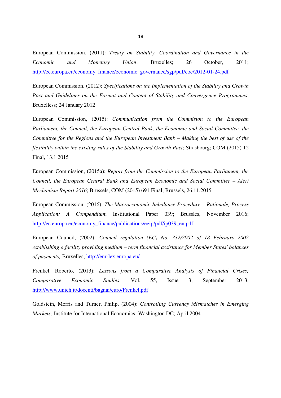European Commission, (2011): *Treaty on Stability, Coordination and Governance in the Economic and Monetary Union*; Bruxelles; 26 October, 2011; http://ec.europa.eu/economy\_finance/economic\_governance/sgp/pdf/coc/2012-01-24.pdf

European Commission, (2012): *Specifications on the Implementation of the Stability and Growth Pact and Guidelines on the Format and Content of Stability and Convergence Programmes*; Bruxelless; 24 January 2012

European Commission, (2015): *Communication from the Commision to the European Parliament, the Council, the European Central Bank, the Economic and Social Committee, the Committee for the Regions and the European Investment Bank – Making the best of use of the flexibility within the existing rules of the Stability and Growth Pact*; Strasbourg; COM (2015) 12 Final, 13.1.2015

European Commission, (2015a): *Report from the Commission to the European Parliament, the Council, the European Central Bank and European Economic and Social Committee – Alert Mechanism Report 2016*; Brussels; COM (2015) 691 Final; Brussels, 26.11.2015

European Commission, (2016): *The Macroeconomic Imbalance Procedure – Rationale, Process Application: A Compendium*; Institutional Paper 039; Brussles, November 2016; http://ec.europa.eu/economy\_finance/publications/eeip/pdf/ip039\_en.pdf

European Council, (2002): *Council regulation (EC) No. 332/2002 of 18 February 2002 establishing a facility providing medium – term financial assistance for Member States' balances of payments;* Bruxelles; http://eur-lex.europa.eu/

Frenkel, Roberto, (2013): *Lessons from a Comparative Analysis of Financial Crises; Comparative Economic Studies*; Vol. 55, Issue 3; September 2013, http://www.unich.it/docenti/bagnai/euro/Frenkel.pdf

Goldstein, Morris and Turner, Philip, (2004): *Controlling Currency Mismatches in Emerging Markets;* Institute for International Economics; Washington DC; April 2004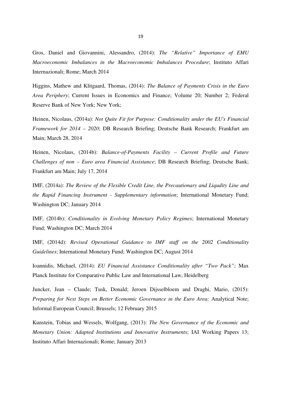Gros, Daniel and Giovannini, Alessandro, (2014): *The "Relative" Importance of EMU Macroeconomic Imbalances in the Macroeconomic Imbalances Procedure*; Instituto Affari Internazionali; Rome; March 2014

Higgins, Mathew and Klitgaard, Thomas, (2014): *The Balance of Payments Crisis in the Euro Area Periphery*; Current Issues in Economics and Finance; Volume 20; Number 2; Federal Reserve Bank of New York; New York;

Heinen, Nicolaus, (2014a): *Not Quite Fit for Purpose: Conditionality under the EU's Financial Framework for 2014 – 2020*; DB Research Briefing; Deutsche Bank Research; Frankfurt am Main; March 28, 2014

Heinen, Nicolaus, (2014b): *Balance-of-Payments Facility – Current Profile and Future Challenges of non – Euro area Financial Assistance*; DB Research Briefing; Deutsche Bank; Frankfurt am Main; July 17, 2014

IMF, (2014a): *The Review of the Flexible Credit Line, the Precautionary and Liqudity Line and the Rapid Financing Instrument - Supplementary information*; International Monetary Fund; Washington DC; January 2014

IMF, (2014b): *Conditionality in Evolving Monetary Policy Regimes*; International Monetary Fund; Washington DC; March 2014

IMF, (2014d): *Revised Operational Guidance to IMF staff on the 2002 Conditionality Guidelines*; International Monetary Fund; Washington DC; August 2014

Ioannidis, Michael, (2014): *EU Financial Assistance Conditionality after "Two Pack";* Max Planck Institute for Comparative Public Law and International Law, Heidelberg

Juncker, Jean – Claude; Tusk, Donald; Jeroen Dijsselbloem and Draghi, Mario, (2015): *Preparing for Next Steps on Better Economic Governance in the Euro Area; Analytical Note;* Informal European Council; Brussels; 12 February 2015

Kunstein, Tobias and Wessels, Wolfgang, (2013): *The New Governance of the Economic and Monetary Union: Adapted Institutions and Innovative Instruments*; IAI Working Papers 13; Instituto Affari Internazionali; Rome; January 2013